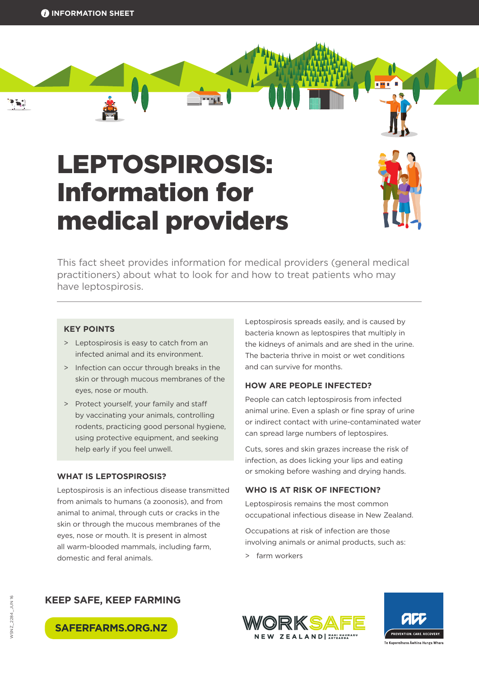$251$ 

# LEPTOSPIROSIS: Information for medical providers



This fact sheet provides information for medical providers (general medical practitioners) about what to look for and how to treat patients who may have leptospirosis.

#### **KEY POINTS**

- > Leptospirosis is easy to catch from an infected animal and its environment.
- > Infection can occur through breaks in the skin or through mucous membranes of the eyes, nose or mouth.
- > Protect yourself, your family and staff by vaccinating your animals, controlling rodents, practicing good personal hygiene, using protective equipment, and seeking help early if you feel unwell.

#### **WHAT IS LEPTOSPIROSIS?**

Leptospirosis is an infectious disease transmitted from animals to humans (a zoonosis), and from animal to animal, through cuts or cracks in the skin or through the mucous membranes of the eyes, nose or mouth. It is present in almost all warm-blooded mammals, including farm, domestic and feral animals.

Leptospirosis spreads easily, and is caused by bacteria known as leptospires that multiply in the kidneys of animals and are shed in the urine. The bacteria thrive in moist or wet conditions and can survive for months.

## **HOW ARE PEOPLE INFECTED?**

People can catch leptospirosis from infected animal urine. Even a splash or fine spray of urine or indirect contact with urine-contaminated water can spread large numbers of leptospires.

Cuts, sores and skin grazes increase the risk of infection, as does licking your lips and eating or smoking before washing and drying hands.

#### **WHO IS AT RISK OF INFECTION?**

Leptospirosis remains the most common occupational infectious disease in New Zealand.

Occupations at risk of infection are those involving animals or animal products, such as:

> farm workers







**SAFERFARMS.ORG.NZ**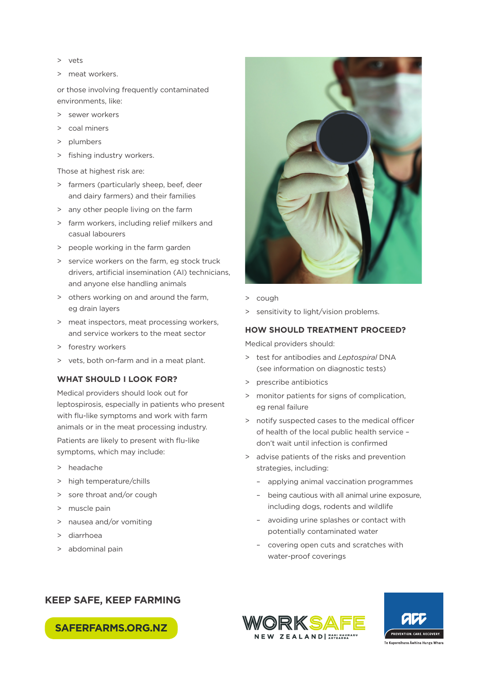- > vets
- > meat workers.

or those involving frequently contaminated environments, like:

- > sewer workers
- > coal miners
- > plumbers
- > fishing industry workers.

Those at highest risk are:

- > farmers (particularly sheep, beef, deer and dairy farmers) and their families
- > any other people living on the farm
- > farm workers, including relief milkers and casual labourers
- > people working in the farm garden
- > service workers on the farm, eg stock truck drivers, artificial insemination (AI) technicians, and anyone else handling animals
- > others working on and around the farm, eg drain layers
- > meat inspectors, meat processing workers, and service workers to the meat sector
- > forestry workers
- > vets, both on-farm and in a meat plant.

## **WHAT SHOULD I LOOK FOR?**

Medical providers should look out for leptospirosis, especially in patients who present with flu-like symptoms and work with farm animals or in the meat processing industry.

Patients are likely to present with flu-like symptoms, which may include:

- > headache
- > high temperature/chills
- > sore throat and/or cough
- > muscle pain
- > nausea and/or vomiting
- > diarrhoea
- > abdominal pain



- > cough
- > sensitivity to light/vision problems.

#### **HOW SHOULD TREATMENT PROCEED?**

Medical providers should:

- > test for antibodies and *Leptospiral* DNA (see information on diagnostic tests)
- > prescribe antibiotics
- > monitor patients for signs of complication, eg renal failure
- > notify suspected cases to the medical officer of health of the local public health service – don't wait until infection is confirmed
- > advise patients of the risks and prevention strategies, including:
	- applying animal vaccination programmes
	- being cautious with all animal urine exposure, including dogs, rodents and wildlife
	- avoiding urine splashes or contact with potentially contaminated water
	- covering open cuts and scratches with water-proof coverings

# **KEEP SAFE, KEEP FARMING**





**SAFERFARMS.ORG.NZ**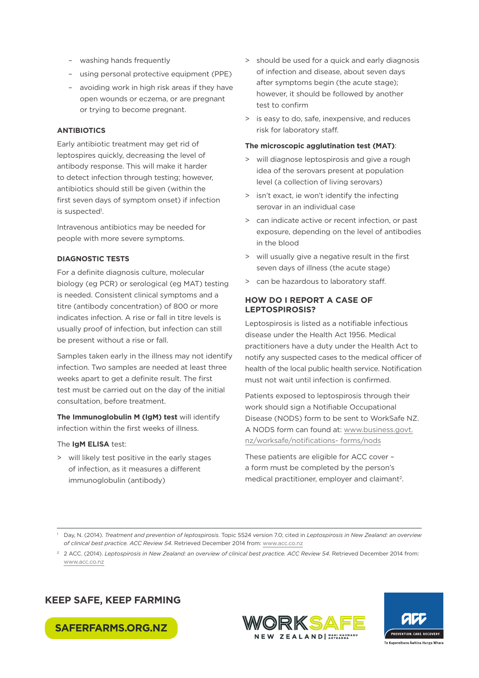- washing hands frequently
- using personal protective equipment (PPE)
- avoiding work in high risk areas if they have open wounds or eczema, or are pregnant or trying to become pregnant.

#### **ANTIBIOTICS**

Early antibiotic treatment may get rid of leptospires quickly, decreasing the level of antibody response. This will make it harder to detect infection through testing; however, antibiotics should still be given (within the first seven days of symptom onset) if infection is suspected<sup>1</sup>.

Intravenous antibiotics may be needed for people with more severe symptoms.

#### **DIAGNOSTIC TESTS**

For a definite diagnosis culture, molecular biology (eg PCR) or serological (eg MAT) testing is needed. Consistent clinical symptoms and a titre (antibody concentration) of 800 or more indicates infection. A rise or fall in titre levels is usually proof of infection, but infection can still be present without a rise or fall.

Samples taken early in the illness may not identify infection. Two samples are needed at least three weeks apart to get a definite result. The first test must be carried out on the day of the initial consultation, before treatment.

**The Immunoglobulin M (IgM) test** will identify infection within the first weeks of illness.

## The **IgM ELISA** test:

> will likely test positive in the early stages of infection, as it measures a different immunoglobulin (antibody)

- > should be used for a quick and early diagnosis of infection and disease, about seven days after symptoms begin (the acute stage); however, it should be followed by another test to confirm
- > is easy to do, safe, inexpensive, and reduces risk for laboratory staff.

#### **The microscopic agglutination test (MAT)**:

- > will diagnose leptospirosis and give a rough idea of the serovars present at population level (a collection of living serovars)
- > isn't exact, ie won't identify the infecting serovar in an individual case
- > can indicate active or recent infection, or past exposure, depending on the level of antibodies in the blood
- > will usually give a negative result in the first seven days of illness (the acute stage)
- > can be hazardous to laboratory staff.

#### **HOW DO I REPORT A CASE OF LEPTOSPIROSIS?**

Leptospirosis is listed as a notifiable infectious disease under the Health Act 1956. Medical practitioners have a duty under the Health Act to notify any suspected cases to the medical officer of health of the local public health service. Notification must not wait until infection is confirmed.

Patients exposed to leptospirosis through their work should sign a Notifiable Occupational Disease (NODS) form to be sent to WorkSafe NZ. A NODS form can found at: [www.business.govt.](http://www.business.govt.nz/worksafe/notifications-forms/nods) [nz/worksafe/notifications- forms/nods](http://www.business.govt.nz/worksafe/notifications-forms/nods)

These patients are eligible for ACC cover – a form must be completed by the person's medical practitioner, employer and claimant<sup>2</sup>.

<sup>2</sup> 2 ACC. (2014). *Leptospirosis in New Zealand: an overview of clinical best practice. ACC Review 54*. Retrieved December 2014 from: [www.acc.co.nz](http://www.acc.co.nz/)

# **KEEP SAFE, KEEP FARMING**







<sup>1</sup> Day, N. (2014). *Treatment and prevention of leptospirosis*. Topic 5524 version 7.0; cited in *Leptospirosis in New Zealand: an overview of clinical best practice. ACC Review 54*. Retrieved December 2014 from: [www.acc.co.nz](http://www.acc.co.nz/)